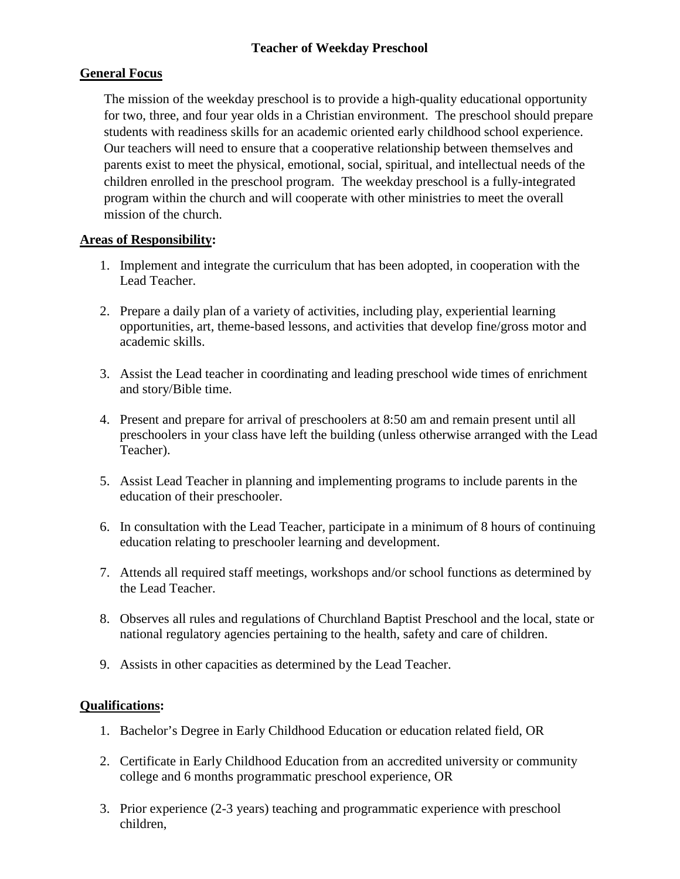# **Teacher of Weekday Preschool**

# **General Focus**

The mission of the weekday preschool is to provide a high-quality educational opportunity for two, three, and four year olds in a Christian environment. The preschool should prepare students with readiness skills for an academic oriented early childhood school experience. Our teachers will need to ensure that a cooperative relationship between themselves and parents exist to meet the physical, emotional, social, spiritual, and intellectual needs of the children enrolled in the preschool program. The weekday preschool is a fully-integrated program within the church and will cooperate with other ministries to meet the overall mission of the church.

## **Areas of Responsibility:**

- 1. Implement and integrate the curriculum that has been adopted, in cooperation with the Lead Teacher.
- 2. Prepare a daily plan of a variety of activities, including play, experiential learning opportunities, art, theme-based lessons, and activities that develop fine/gross motor and academic skills.
- 3. Assist the Lead teacher in coordinating and leading preschool wide times of enrichment and story/Bible time.
- 4. Present and prepare for arrival of preschoolers at 8:50 am and remain present until all preschoolers in your class have left the building (unless otherwise arranged with the Lead Teacher).
- 5. Assist Lead Teacher in planning and implementing programs to include parents in the education of their preschooler.
- 6. In consultation with the Lead Teacher, participate in a minimum of 8 hours of continuing education relating to preschooler learning and development.
- 7. Attends all required staff meetings, workshops and/or school functions as determined by the Lead Teacher.
- 8. Observes all rules and regulations of Churchland Baptist Preschool and the local, state or national regulatory agencies pertaining to the health, safety and care of children.
- 9. Assists in other capacities as determined by the Lead Teacher.

## **Qualifications:**

- 1. Bachelor's Degree in Early Childhood Education or education related field, OR
- 2. Certificate in Early Childhood Education from an accredited university or community college and 6 months programmatic preschool experience, OR
- 3. Prior experience (2-3 years) teaching and programmatic experience with preschool children,